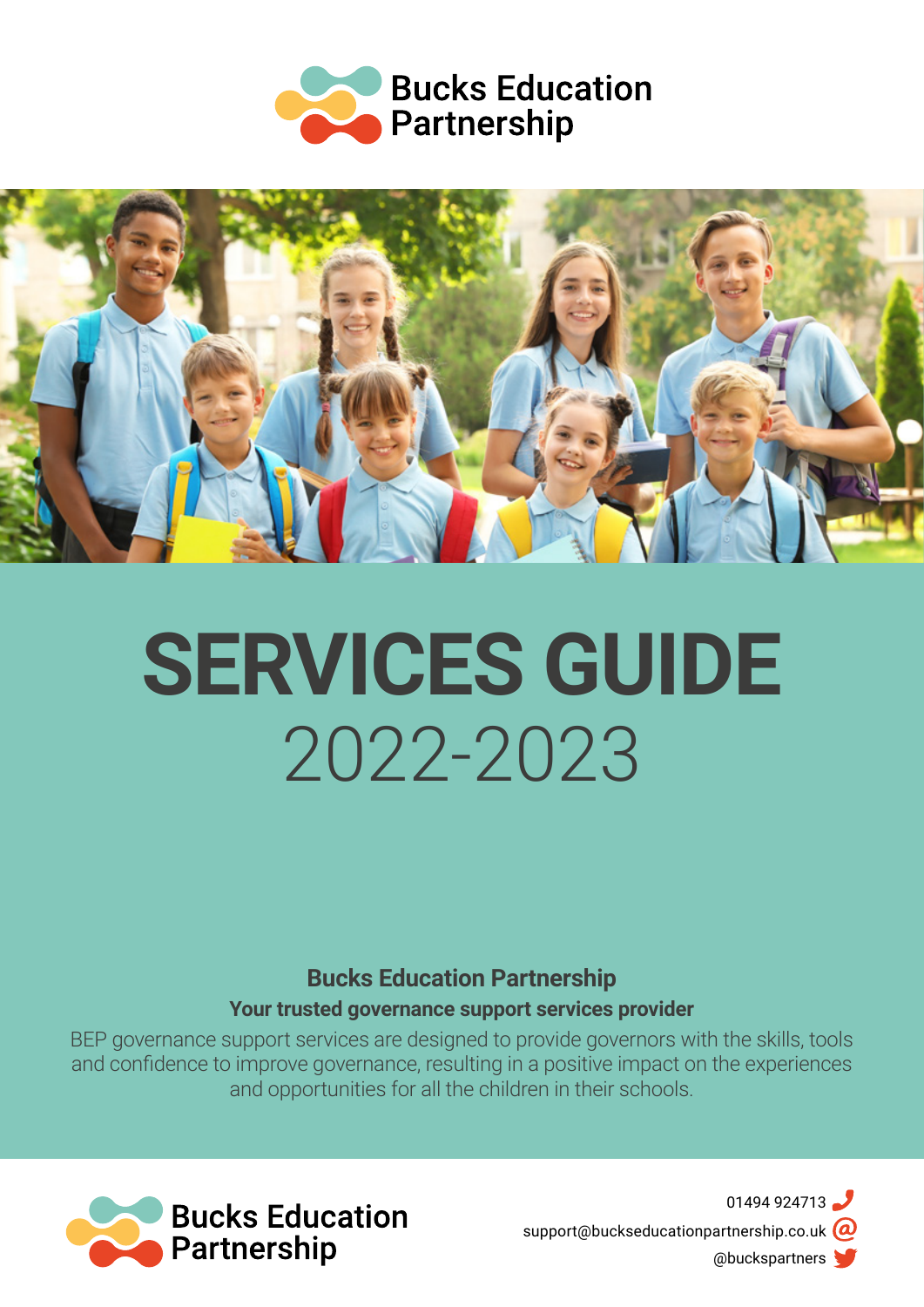



# **SERVICES GUIDE** 2022-2023

**Bucks Education Partnership Your trusted governance support services provider**

BEP governance support services are designed to provide governors with the skills, tools and confidence to improve governance, resulting in a positive impact on the experiences and opportunities for all the children in their schools.



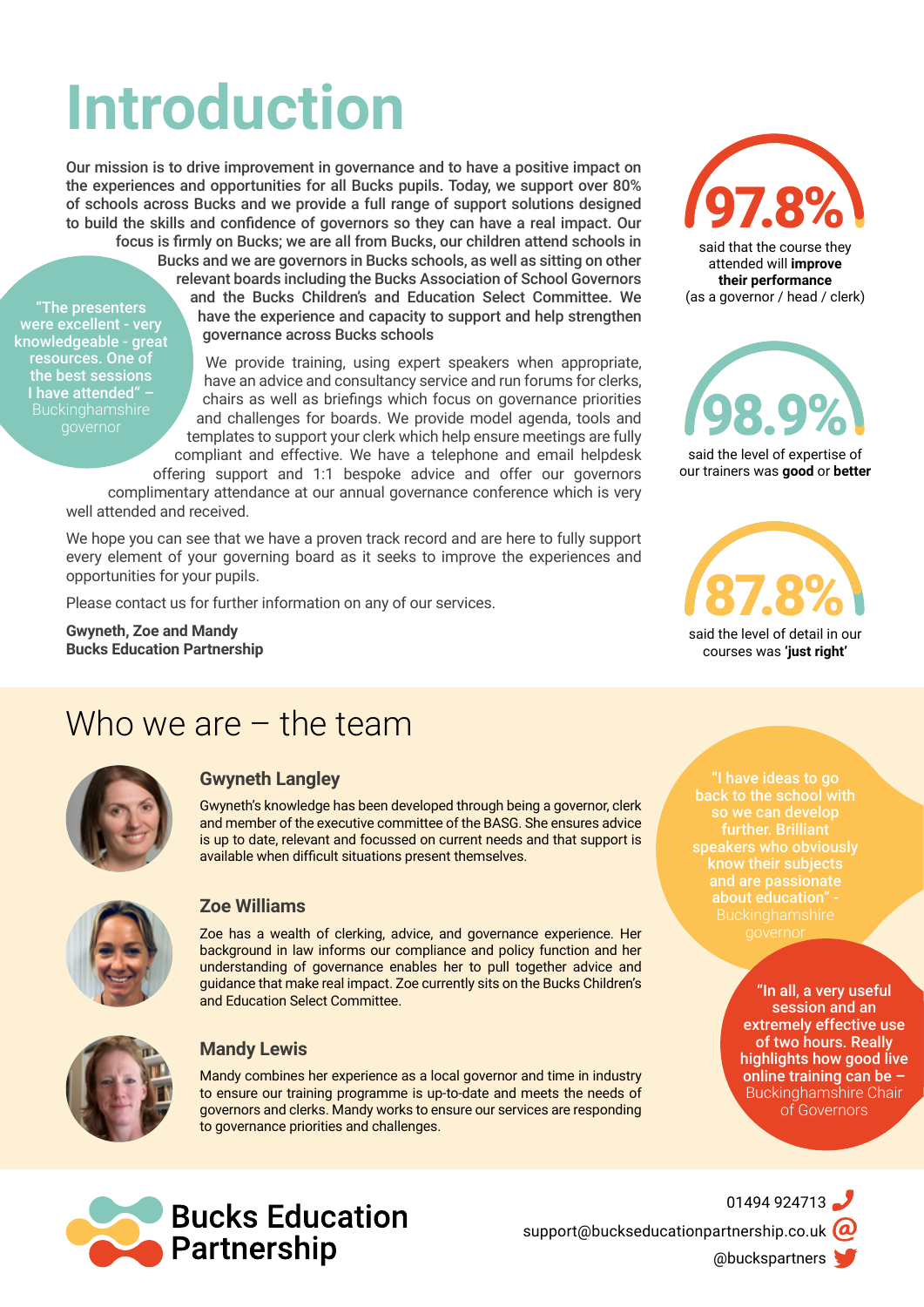## **Introduction**

Our mission is to drive improvement in governance and to have a positive impact on the experiences and opportunities for all Bucks pupils. Today, we support over 80% of schools across Bucks and we provide a full range of support solutions designed to build the skills and confidence of governors so they can have a real impact. Our focus is firmly on Bucks; we are all from Bucks, our children attend schools in

"The presenters were excellent - very knowledgeable - great resources. One of the best sessions I have attended" –

Bucks and we are governors in Bucks schools, as well as sitting on other relevant boards including the Bucks Association of School Governors and the Bucks Children's and Education Select Committee. We have the experience and capacity to support and help strengthen governance across Bucks schools

We provide training, using expert speakers when appropriate, have an advice and consultancy service and run forums for clerks, chairs as well as briefings which focus on governance priorities and challenges for boards. We provide model agenda, tools and templates to support your clerk which help ensure meetings are fully compliant and effective. We have a telephone and email helpdesk offering support and 1:1 bespoke advice and offer our governors

complimentary attendance at our annual governance conference which is very well attended and received.

We hope you can see that we have a proven track record and are here to fully support every element of your governing board as it seeks to improve the experiences and opportunities for your pupils.

Please contact us for further information on any of our services.

**Gwyneth, Zoe and Mandy Bucks Education Partnership**



said that the course they attended will **improve their performance** (as a governor / head / clerk)



said the level of expertise of our trainers was **good** or **better**

87.8% said the level of detail in our courses was **'just right'**

## Who we are – the team



## **Gwyneth Langley**

Gwyneth's knowledge has been developed through being a governor, clerk and member of the executive committee of the BASG. She ensures advice is up to date, relevant and focussed on current needs and that support is available when difficult situations present themselves.



## **Zoe Williams**

Zoe has a wealth of clerking, advice, and governance experience. Her background in law informs our compliance and policy function and her understanding of governance enables her to pull together advice and guidance that make real impact. Zoe currently sits on the Bucks Children's and Education Select Committee.



## **Mandy Lewis**

Mandy combines her experience as a local governor and time in industry to ensure our training programme is up-to-date and meets the needs of governors and clerks. Mandy works to ensure our services are responding to governance priorities and challenges.



01494 924713 [support@buckseducationpartnership.co.uk](mailto:support%40buckseducationpartnership.co.uk%20?subject=)  $\omega$ [@buckspartners](https://twitter.com/BucksPartners) 

"I have ideas to go so we can develop further. Brilliant

> "In all, a very useful session and an extremely effective use of two hours. Really highlights how good live online training can be – Buckinghamshire Chair of Governors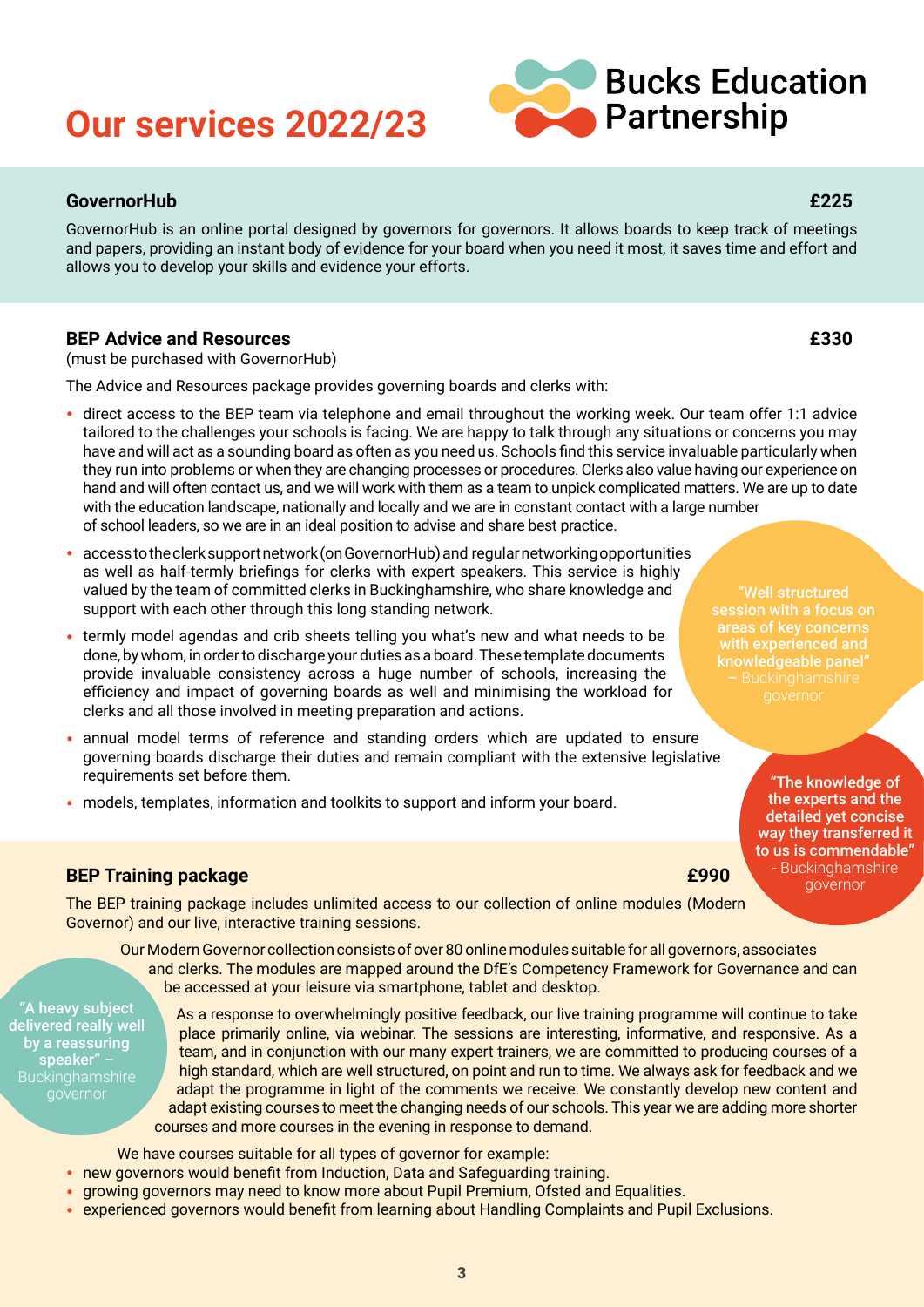## **Our services 2022/23**

## **GovernorHub £225**

GovernorHub is an online portal designed by governors for governors. It allows boards to keep track of meetings and papers, providing an instant body of evidence for your board when you need it most, it saves time and effort and allows you to develop your skills and evidence your efforts.

## **BEP Advice and Resources £330**

(must be purchased with GovernorHub)

The Advice and Resources package provides governing boards and clerks with:

- direct access to the BEP team via telephone and email throughout the working week. Our team offer 1:1 advice tailored to the challenges your schools is facing. We are happy to talk through any situations or concerns you may have and will act as a sounding board as often as you need us. Schools find this service invaluable particularly when they run into problems or when they are changing processes or procedures. Clerks also value having our experience on hand and will often contact us, and we will work with them as a team to unpick complicated matters. We are up to date with the education landscape, nationally and locally and we are in constant contact with a large number of school leaders, so we are in an ideal position to advise and share best practice.
- access to the clerk support network (on GovernorHub) and regular networking opportunities as well as half-termly briefings for clerks with expert speakers. This service is highly valued by the team of committed clerks in Buckinghamshire, who share knowledge and support with each other through this long standing network.
- termly model agendas and crib sheets telling you what's new and what needs to be done, by whom, in order to discharge your duties as a board. These template documents provide invaluable consistency across a huge number of schools, increasing the efficiency and impact of governing boards as well and minimising the workload for clerks and all those involved in meeting preparation and actions.
- annual model terms of reference and standing orders which are updated to ensure governing boards discharge their duties and remain compliant with the extensive legislative requirements set before them.
- models, templates, information and toolkits to support and inform your board.

## **BEP Training package £990**

The BEP training package includes unlimited access to our collection of online modules (Modern Governor) and our live, interactive training sessions.

Our Modern Governor collection consists of over 80 online modules suitable for all governors, associates and clerks. The modules are mapped around the DfE's Competency Framework for Governance and can be accessed at your leisure via smartphone, tablet and desktop.

"A heavy subject delivered really well by a reassuring speaker" –

As a response to overwhelmingly positive feedback, our live training programme will continue to take place primarily online, via webinar. The sessions are interesting, informative, and responsive. As a team, and in conjunction with our many expert trainers, we are committed to producing courses of a high standard, which are well structured, on point and run to time. We always ask for feedback and we adapt the programme in light of the comments we receive. We constantly develop new content and adapt existing courses to meet the changing needs of our schools. This year we are adding more shorter courses and more courses in the evening in response to demand.

We have courses suitable for all types of governor for example:

- new governors would benefit from Induction, Data and Safeguarding training.
- growing governors may need to know more about Pupil Premium, Ofsted and Equalities.
- experienced governors would benefit from learning about Handling Complaints and Pupil Exclusions.

# knowledgeable panel"

"The knowledge of the experts and the detailed yet concise way they transferred it to us is commendable" - Buckinghamshire governor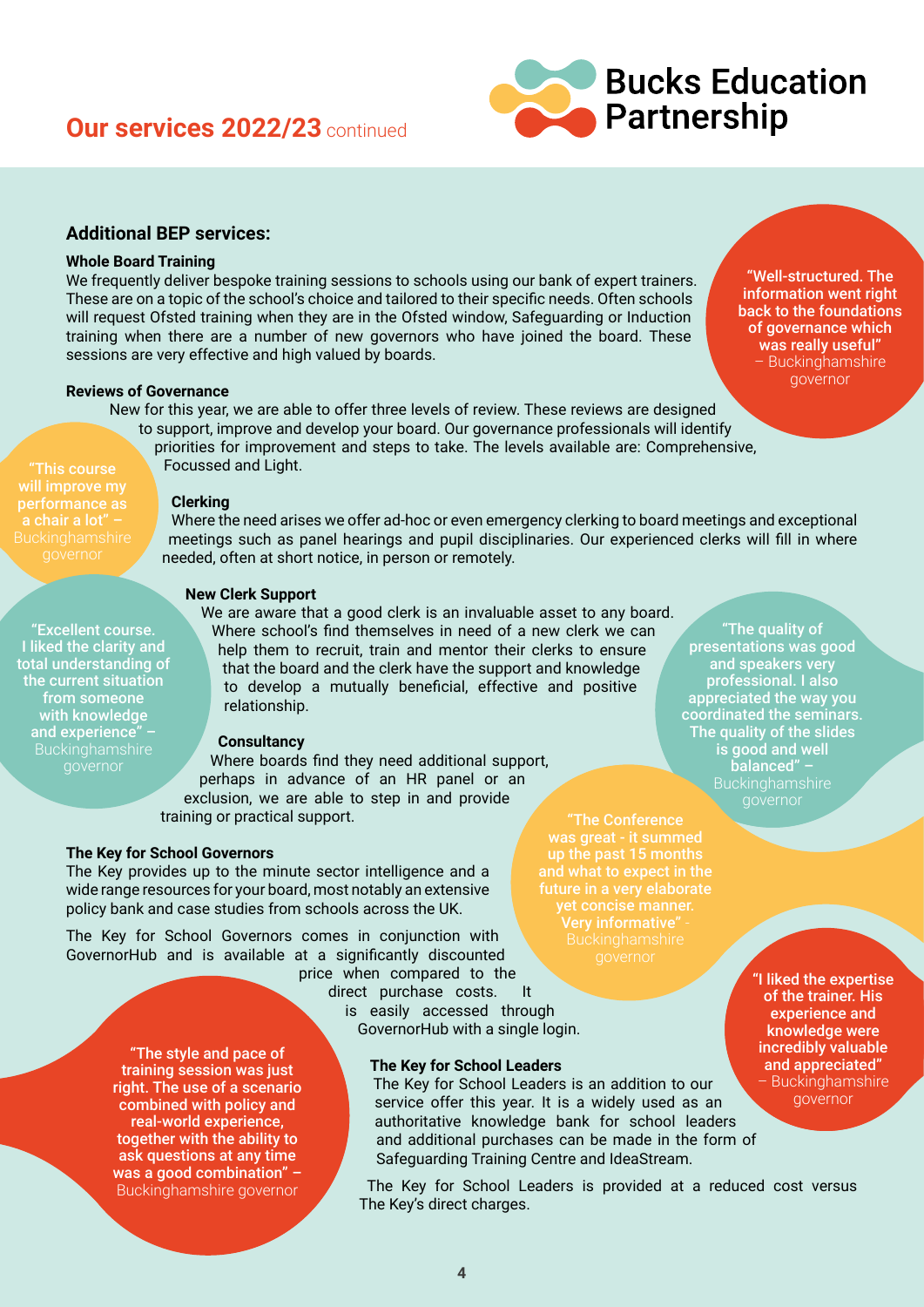## **Our services 2022/23** continued



## **Additional BEP services:**

## **Whole Board Training**

We frequently deliver bespoke training sessions to schools using our bank of expert trainers. These are on a topic of the school's choice and tailored to their specific needs. Often schools will request Ofsted training when they are in the Ofsted window, Safeguarding or Induction training when there are a number of new governors who have joined the board. These sessions are very effective and high valued by boards.

### **Reviews of Governance**

New for this year, we are able to offer three levels of review. These reviews are designed

to support, improve and develop your board. Our governance professionals will identify priorities for improvement and steps to take. The levels available are: Comprehensive, Focussed and Light.

"This course will improve my performance as

"Excellent course. I liked the clarity and total understanding of the current situation from someone with knowledge and experience" –

### **Clerking**

Where the need arises we offer ad-hoc or even emergency clerking to board meetings and exceptional meetings such as panel hearings and pupil disciplinaries. Our experienced clerks will fill in where needed, often at short notice, in person or remotely.

#### **New Clerk Support**

We are aware that a good clerk is an invaluable asset to any board. Where school's find themselves in need of a new clerk we can help them to recruit, train and mentor their clerks to ensure that the board and the clerk have the support and knowledge to develop a mutually beneficial, effective and positive relationship.

## **Consultancy**

Where boards find they need additional support, perhaps in advance of an HR panel or an exclusion, we are able to step in and provide training or practical support.

#### **The Key for School Governors**

The Key provides up to the minute sector intelligence and a wide range resources for your board, most notably an extensive policy bank and case studies from schools across the UK.

The Key for School Governors comes in conjunction with GovernorHub and is available at a significantly discounted

> price when compared to the direct purchase costs. It is easily accessed through GovernorHub with a single login.

"The style and pace of training session was just right. The use of a scenario combined with policy and real-world experience, together with the ability to ask questions at any time was a good combination" -Buckinghamshire governor

#### **The Key for School Leaders**

The Key for School Leaders is an addition to our service offer this year. It is a widely used as an authoritative knowledge bank for school leaders and additional purchases can be made in the form of Safeguarding Training Centre and IdeaStream.

The Key for School Leaders is provided at a reduced cost versus The Key's direct charges.

"The Conference Very informative" -

"The quality of presentations was good and speakers very professional. I also appreciated the way you coordinated the seminars. The quality of the slides is good and well balanced" –

> "I liked the expertise of the trainer. His experience and knowledge were incredibly valuable and appreciated" – Buckinghamshire governor

"Well-structured. The information went right back to the foundations of governance which was really useful" – Buckinghamshire governor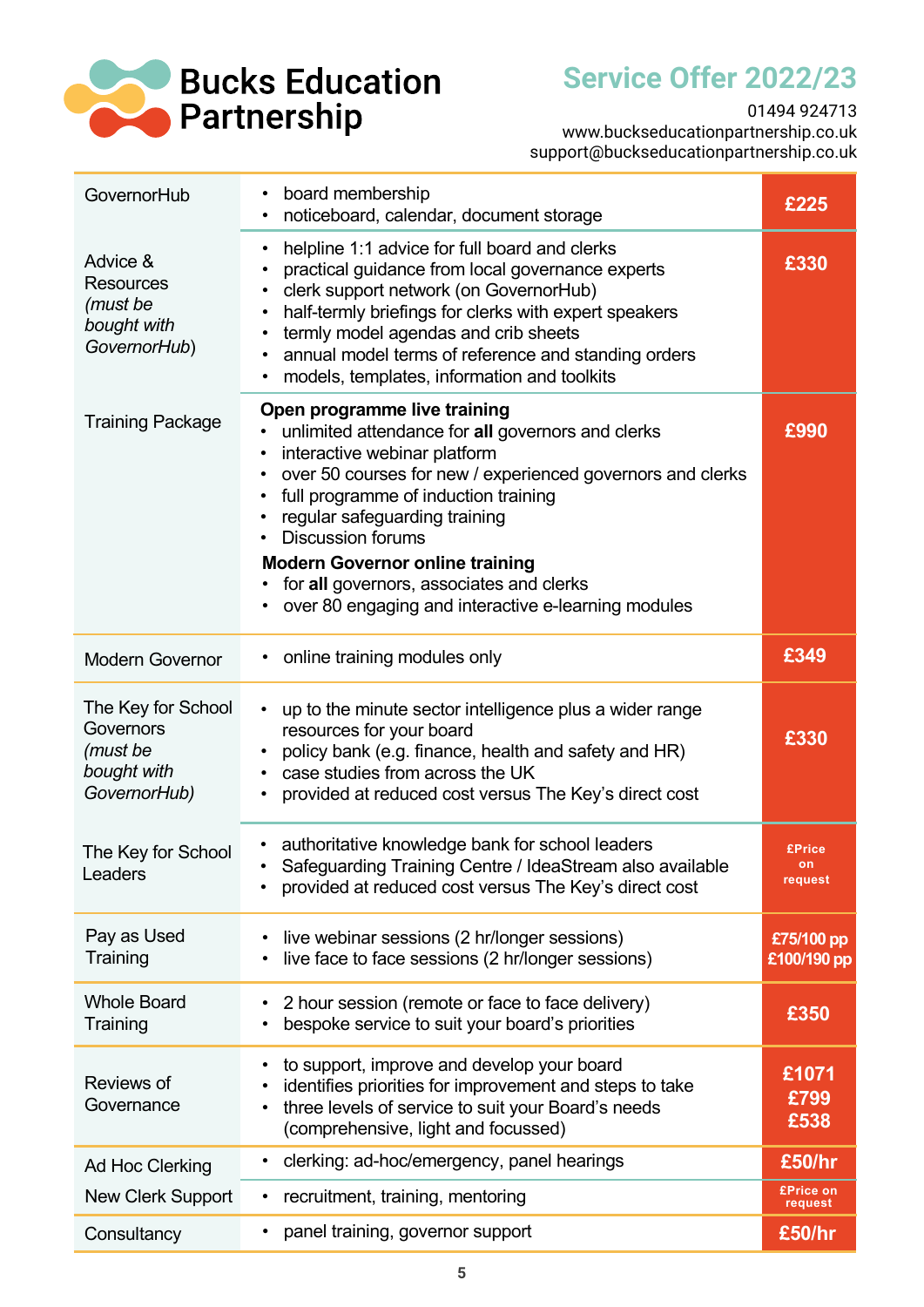

**Service Offer 2022/23 Service Offer 2022/23**

01494 924713 01494 924713

[www.buckseducationpartnership.co.uk](http://www.buckseducationpartnership.co.uk) www.buckseducationpartnership.co.uk [support@buckseducationpartnership.co.uk](mailto:support%40buckseducationpartnership.co.uk?subject=) support@buckseducationpartnership.co.uk

| GovernorHub                                                                | board membership<br>٠<br>noticeboard, calendar, document storage                                                                                                                                                                                                                                                                                                                                                                  | £225                           |
|----------------------------------------------------------------------------|-----------------------------------------------------------------------------------------------------------------------------------------------------------------------------------------------------------------------------------------------------------------------------------------------------------------------------------------------------------------------------------------------------------------------------------|--------------------------------|
| Advice &<br><b>Resources</b><br>(must be<br>bought with<br>GovernorHub)    | helpline 1:1 advice for full board and clerks<br>٠<br>practical guidance from local governance experts<br>clerk support network (on GovernorHub)<br>half-termly briefings for clerks with expert speakers<br>termly model agendas and crib sheets<br>annual model terms of reference and standing orders<br>models, templates, information and toolkits                                                                           | £330                           |
| <b>Training Package</b>                                                    | Open programme live training<br>unlimited attendance for all governors and clerks<br>interactive webinar platform<br>over 50 courses for new / experienced governors and clerks<br>full programme of induction training<br>regular safeguarding training<br><b>Discussion forums</b><br><b>Modern Governor online training</b><br>for all governors, associates and clerks<br>over 80 engaging and interactive e-learning modules | £990                           |
| <b>Modern Governor</b>                                                     | online training modules only                                                                                                                                                                                                                                                                                                                                                                                                      | £349                           |
| The Key for School<br>Governors<br>(must be<br>bought with<br>GovernorHub) | up to the minute sector intelligence plus a wider range<br>resources for your board<br>policy bank (e.g. finance, health and safety and HR)<br>case studies from across the UK<br>provided at reduced cost versus The Key's direct cost                                                                                                                                                                                           | £330                           |
| The Key for School<br>Leaders                                              | authoritative knowledge bank for school leaders<br>Safeguarding Training Centre / IdeaStream also available<br>provided at reduced cost versus The Key's direct cost                                                                                                                                                                                                                                                              | <b>£Price</b><br>on<br>request |
| Pay as Used<br>Training                                                    | live webinar sessions (2 hr/longer sessions)<br>live face to face sessions (2 hr/longer sessions)                                                                                                                                                                                                                                                                                                                                 | £75/100 pp<br>£100/190 pp      |
| <b>Whole Board</b><br>Training                                             | 2 hour session (remote or face to face delivery)<br>bespoke service to suit your board's priorities                                                                                                                                                                                                                                                                                                                               | £350                           |
| Reviews of<br>Governance                                                   | to support, improve and develop your board<br>identifies priorities for improvement and steps to take<br>three levels of service to suit your Board's needs<br>(comprehensive, light and focussed)                                                                                                                                                                                                                                | £1071<br>£799<br>£538          |
| Ad Hoc Clerking                                                            | clerking: ad-hoc/emergency, panel hearings<br>٠                                                                                                                                                                                                                                                                                                                                                                                   | £50/hr                         |
| New Clerk Support                                                          | recruitment, training, mentoring<br>٠                                                                                                                                                                                                                                                                                                                                                                                             | <b>£Price on</b><br>request    |
| Consultancy                                                                | panel training, governor support                                                                                                                                                                                                                                                                                                                                                                                                  | £50/hr                         |